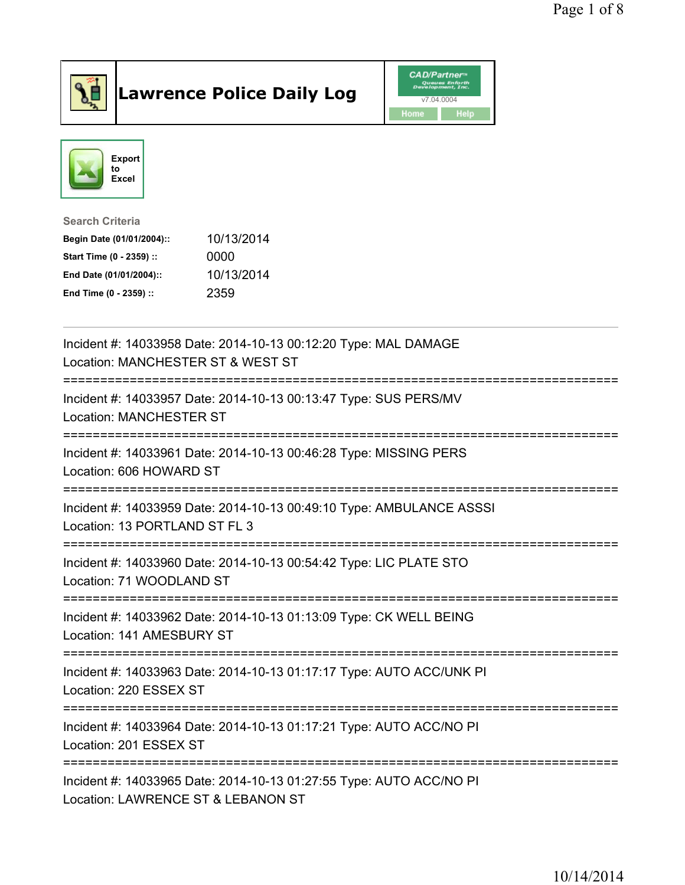

## Lawrence Police Daily Log **Daniel CAD/Partner**





## Search Criteria Begin Date (01/01/2004):: 10/13/2014

|                          | .          |
|--------------------------|------------|
| Start Time (0 - 2359) :: | 0000       |
| End Date (01/01/2004)::  | 10/13/2014 |
| End Time (0 - 2359) ::   | 2359       |

| Incident #: 14033958 Date: 2014-10-13 00:12:20 Type: MAL DAMAGE<br>Location: MANCHESTER ST & WEST ST      |
|-----------------------------------------------------------------------------------------------------------|
| Incident #: 14033957 Date: 2014-10-13 00:13:47 Type: SUS PERS/MV<br><b>Location: MANCHESTER ST</b>        |
| Incident #: 14033961 Date: 2014-10-13 00:46:28 Type: MISSING PERS<br>Location: 606 HOWARD ST              |
| Incident #: 14033959 Date: 2014-10-13 00:49:10 Type: AMBULANCE ASSSI<br>Location: 13 PORTLAND ST FL 3     |
| Incident #: 14033960 Date: 2014-10-13 00:54:42 Type: LIC PLATE STO<br>Location: 71 WOODLAND ST            |
| Incident #: 14033962 Date: 2014-10-13 01:13:09 Type: CK WELL BEING<br>Location: 141 AMESBURY ST           |
| Incident #: 14033963 Date: 2014-10-13 01:17:17 Type: AUTO ACC/UNK PI<br>Location: 220 ESSEX ST            |
| Incident #: 14033964 Date: 2014-10-13 01:17:21 Type: AUTO ACC/NO PI<br>Location: 201 ESSEX ST             |
| Incident #: 14033965 Date: 2014-10-13 01:27:55 Type: AUTO ACC/NO PI<br>Location: LAWRENCE ST & LEBANON ST |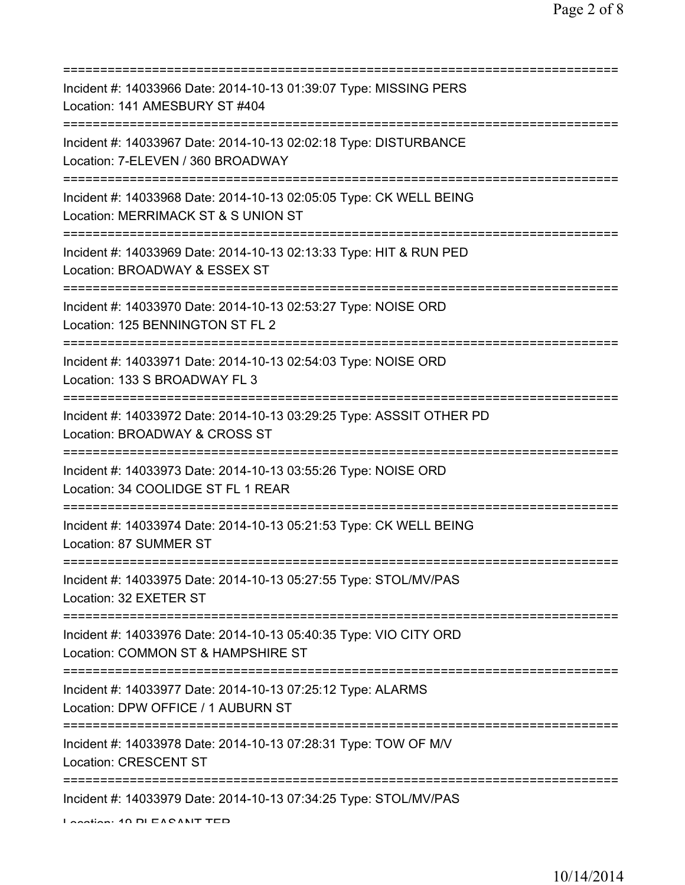| Incident #: 14033966 Date: 2014-10-13 01:39:07 Type: MISSING PERS<br>Location: 141 AMESBURY ST #404                                      |
|------------------------------------------------------------------------------------------------------------------------------------------|
| Incident #: 14033967 Date: 2014-10-13 02:02:18 Type: DISTURBANCE<br>Location: 7-ELEVEN / 360 BROADWAY                                    |
| Incident #: 14033968 Date: 2014-10-13 02:05:05 Type: CK WELL BEING<br>Location: MERRIMACK ST & S UNION ST                                |
| Incident #: 14033969 Date: 2014-10-13 02:13:33 Type: HIT & RUN PED<br>Location: BROADWAY & ESSEX ST                                      |
| Incident #: 14033970 Date: 2014-10-13 02:53:27 Type: NOISE ORD<br>Location: 125 BENNINGTON ST FL 2                                       |
| Incident #: 14033971 Date: 2014-10-13 02:54:03 Type: NOISE ORD<br>Location: 133 S BROADWAY FL 3<br>===================================== |
| Incident #: 14033972 Date: 2014-10-13 03:29:25 Type: ASSSIT OTHER PD<br>Location: BROADWAY & CROSS ST<br>=============================   |
| Incident #: 14033973 Date: 2014-10-13 03:55:26 Type: NOISE ORD<br>Location: 34 COOLIDGE ST FL 1 REAR                                     |
| Incident #: 14033974 Date: 2014-10-13 05:21:53 Type: CK WELL BEING<br>Location: 87 SUMMER ST                                             |
| Incident #: 14033975 Date: 2014-10-13 05:27:55 Type: STOL/MV/PAS<br>Location: 32 EXETER ST                                               |
| Incident #: 14033976 Date: 2014-10-13 05:40:35 Type: VIO CITY ORD<br>Location: COMMON ST & HAMPSHIRE ST                                  |
| Incident #: 14033977 Date: 2014-10-13 07:25:12 Type: ALARMS<br>Location: DPW OFFICE / 1 AUBURN ST                                        |
| Incident #: 14033978 Date: 2014-10-13 07:28:31 Type: TOW OF M/V<br><b>Location: CRESCENT ST</b>                                          |
| ====================================<br>Incident #: 14033979 Date: 2014-10-13 07:34:25 Type: STOL/MV/PAS                                 |

Location: 10 PLEASANT TED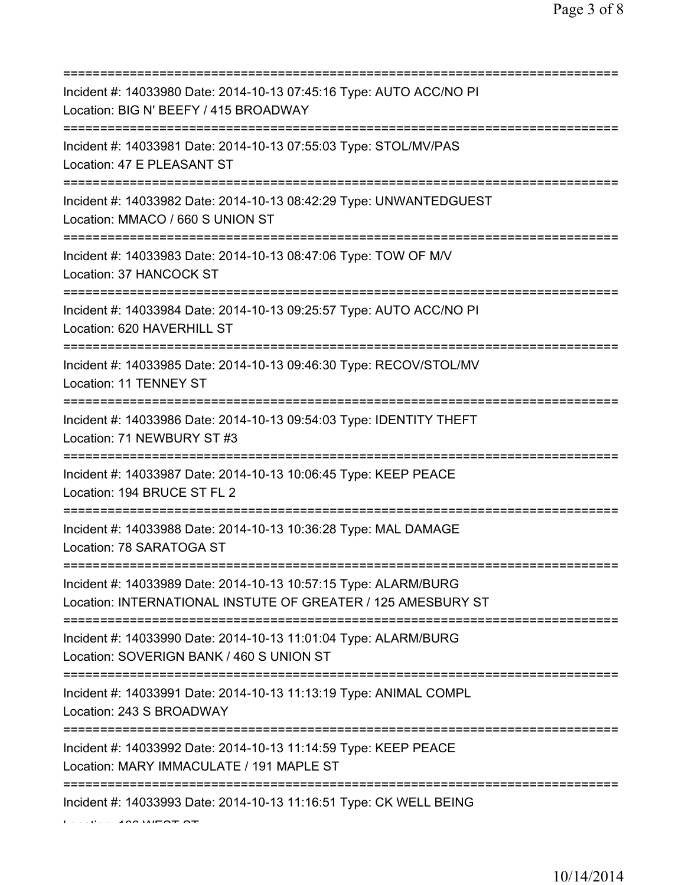| Incident #: 14033980 Date: 2014-10-13 07:45:16 Type: AUTO ACC/NO PI<br>Location: BIG N' BEEFY / 415 BROADWAY                       |
|------------------------------------------------------------------------------------------------------------------------------------|
| Incident #: 14033981 Date: 2014-10-13 07:55:03 Type: STOL/MV/PAS<br>Location: 47 E PLEASANT ST                                     |
| Incident #: 14033982 Date: 2014-10-13 08:42:29 Type: UNWANTEDGUEST<br>Location: MMACO / 660 S UNION ST<br>======================== |
| Incident #: 14033983 Date: 2014-10-13 08:47:06 Type: TOW OF M/V<br>Location: 37 HANCOCK ST                                         |
| Incident #: 14033984 Date: 2014-10-13 09:25:57 Type: AUTO ACC/NO PI<br>Location: 620 HAVERHILL ST                                  |
| Incident #: 14033985 Date: 2014-10-13 09:46:30 Type: RECOV/STOL/MV<br>Location: 11 TENNEY ST<br>=============================      |
| Incident #: 14033986 Date: 2014-10-13 09:54:03 Type: IDENTITY THEFT<br>Location: 71 NEWBURY ST #3                                  |
| Incident #: 14033987 Date: 2014-10-13 10:06:45 Type: KEEP PEACE<br>Location: 194 BRUCE ST FL 2                                     |
| Incident #: 14033988 Date: 2014-10-13 10:36:28 Type: MAL DAMAGE<br>Location: 78 SARATOGA ST                                        |
| Incident #: 14033989 Date: 2014-10-13 10:57:15 Type: ALARM/BURG<br>Location: INTERNATIONAL INSTUTE OF GREATER / 125 AMESBURY ST    |
| Incident #: 14033990 Date: 2014-10-13 11:01:04 Type: ALARM/BURG<br>Location: SOVERIGN BANK / 460 S UNION ST                        |
| Incident #: 14033991 Date: 2014-10-13 11:13:19 Type: ANIMAL COMPL<br>Location: 243 S BROADWAY                                      |
| Incident #: 14033992 Date: 2014-10-13 11:14:59 Type: KEEP PEACE<br>Location: MARY IMMACULATE / 191 MAPLE ST<br>=================== |
| Incident #: 14033993 Date: 2014-10-13 11:16:51 Type: CK WELL BEING                                                                 |

 $\mathbf{L}$  Location  $\mathbf{L}$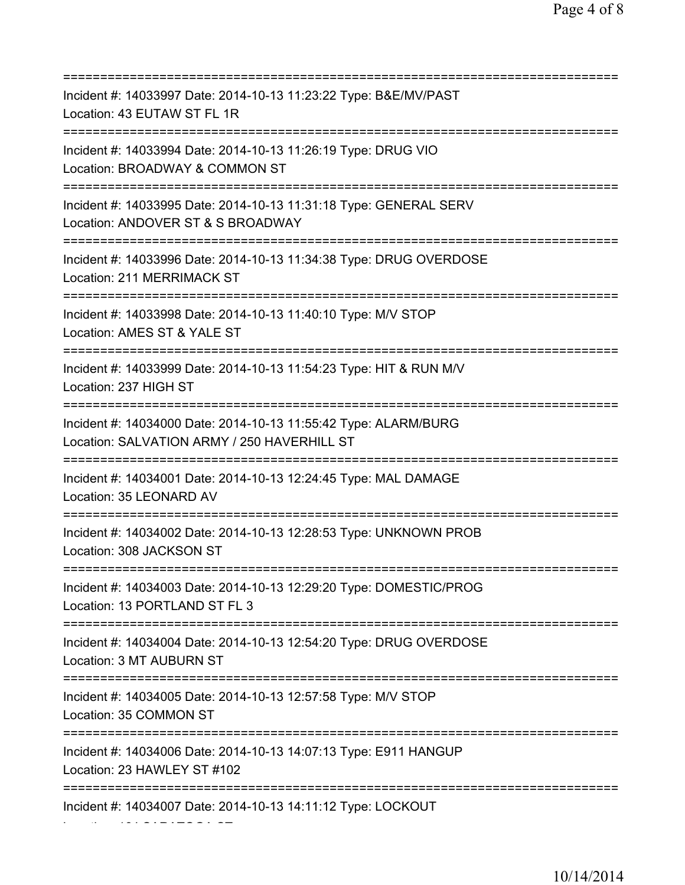| Incident #: 14033997 Date: 2014-10-13 11:23:22 Type: B&E/MV/PAST<br>Location: 43 EUTAW ST FL 1R                                         |
|-----------------------------------------------------------------------------------------------------------------------------------------|
| Incident #: 14033994 Date: 2014-10-13 11:26:19 Type: DRUG VIO<br>Location: BROADWAY & COMMON ST                                         |
| Incident #: 14033995 Date: 2014-10-13 11:31:18 Type: GENERAL SERV<br>Location: ANDOVER ST & S BROADWAY                                  |
| Incident #: 14033996 Date: 2014-10-13 11:34:38 Type: DRUG OVERDOSE<br>Location: 211 MERRIMACK ST<br>=================================== |
| Incident #: 14033998 Date: 2014-10-13 11:40:10 Type: M/V STOP<br>Location: AMES ST & YALE ST                                            |
| Incident #: 14033999 Date: 2014-10-13 11:54:23 Type: HIT & RUN M/V<br>Location: 237 HIGH ST                                             |
| Incident #: 14034000 Date: 2014-10-13 11:55:42 Type: ALARM/BURG<br>Location: SALVATION ARMY / 250 HAVERHILL ST                          |
| Incident #: 14034001 Date: 2014-10-13 12:24:45 Type: MAL DAMAGE<br>Location: 35 LEONARD AV                                              |
| Incident #: 14034002 Date: 2014-10-13 12:28:53 Type: UNKNOWN PROB<br>Location: 308 JACKSON ST                                           |
| Incident #: 14034003 Date: 2014-10-13 12:29:20 Type: DOMESTIC/PROG<br>Location: 13 PORTLAND ST FL 3                                     |
| Incident #: 14034004 Date: 2014-10-13 12:54:20 Type: DRUG OVERDOSE<br>Location: 3 MT AUBURN ST                                          |
| Incident #: 14034005 Date: 2014-10-13 12:57:58 Type: M/V STOP<br>Location: 35 COMMON ST                                                 |
| Incident #: 14034006 Date: 2014-10-13 14:07:13 Type: E911 HANGUP<br>Location: 23 HAWLEY ST #102                                         |
| Incident #: 14034007 Date: 2014-10-13 14:11:12 Type: LOCKOUT                                                                            |

Location: 164 SARATOGA ST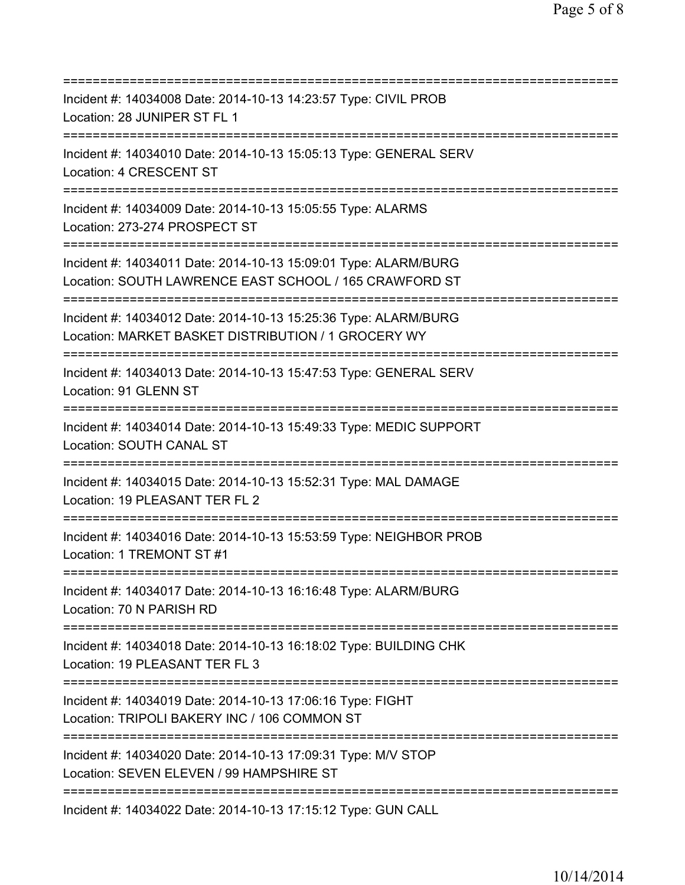| Incident #: 14034008 Date: 2014-10-13 14:23:57 Type: CIVIL PROB<br>Location: 28 JUNIPER ST FL 1                                   |
|-----------------------------------------------------------------------------------------------------------------------------------|
| Incident #: 14034010 Date: 2014-10-13 15:05:13 Type: GENERAL SERV<br>Location: 4 CRESCENT ST                                      |
| Incident #: 14034009 Date: 2014-10-13 15:05:55 Type: ALARMS<br>Location: 273-274 PROSPECT ST                                      |
| Incident #: 14034011 Date: 2014-10-13 15:09:01 Type: ALARM/BURG<br>Location: SOUTH LAWRENCE EAST SCHOOL / 165 CRAWFORD ST         |
| Incident #: 14034012 Date: 2014-10-13 15:25:36 Type: ALARM/BURG<br>Location: MARKET BASKET DISTRIBUTION / 1 GROCERY WY            |
| Incident #: 14034013 Date: 2014-10-13 15:47:53 Type: GENERAL SERV<br>Location: 91 GLENN ST<br>;=================================  |
| Incident #: 14034014 Date: 2014-10-13 15:49:33 Type: MEDIC SUPPORT<br>Location: SOUTH CANAL ST                                    |
| Incident #: 14034015 Date: 2014-10-13 15:52:31 Type: MAL DAMAGE<br>Location: 19 PLEASANT TER FL 2                                 |
| Incident #: 14034016 Date: 2014-10-13 15:53:59 Type: NEIGHBOR PROB<br>Location: 1 TREMONT ST #1                                   |
| Incident #: 14034017 Date: 2014-10-13 16:16:48 Type: ALARM/BURG<br>Location: 70 N PARISH RD                                       |
| Incident #: 14034018 Date: 2014-10-13 16:18:02 Type: BUILDING CHK<br>Location: 19 PLEASANT TER FL 3<br>;========================= |
| Incident #: 14034019 Date: 2014-10-13 17:06:16 Type: FIGHT<br>Location: TRIPOLI BAKERY INC / 106 COMMON ST                        |
| Incident #: 14034020 Date: 2014-10-13 17:09:31 Type: M/V STOP<br>Location: SEVEN ELEVEN / 99 HAMPSHIRE ST                         |
| Incident #: 14034022 Date: 2014-10-13 17:15:12 Type: GUN CALL                                                                     |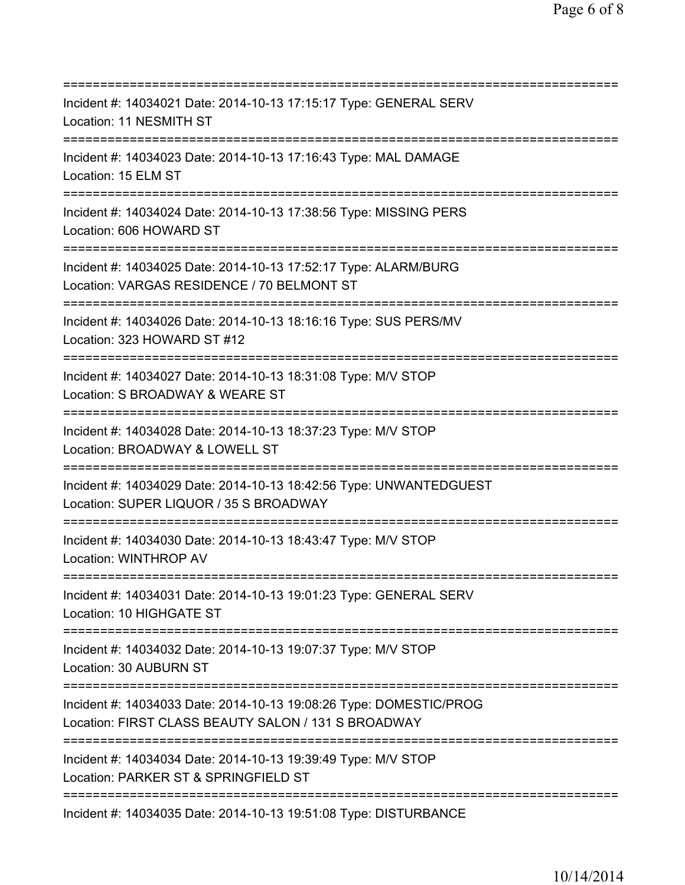=========================================================================== Incident #: 14034021 Date: 2014-10-13 17:15:17 Type: GENERAL SERV Location: 11 NESMITH ST =========================================================================== Incident #: 14034023 Date: 2014-10-13 17:16:43 Type: MAL DAMAGE Location: 15 ELM ST =========================================================================== Incident #: 14034024 Date: 2014-10-13 17:38:56 Type: MISSING PERS Location: 606 HOWARD ST =========================================================================== Incident #: 14034025 Date: 2014-10-13 17:52:17 Type: ALARM/BURG Location: VARGAS RESIDENCE / 70 BELMONT ST =========================================================================== Incident #: 14034026 Date: 2014-10-13 18:16:16 Type: SUS PERS/MV Location: 323 HOWARD ST #12 =========================================================================== Incident #: 14034027 Date: 2014-10-13 18:31:08 Type: M/V STOP Location: S BROADWAY & WEARE ST =========================================================================== Incident #: 14034028 Date: 2014-10-13 18:37:23 Type: M/V STOP Location: BROADWAY & LOWELL ST =========================================================================== Incident #: 14034029 Date: 2014-10-13 18:42:56 Type: UNWANTEDGUEST Location: SUPER LIQUOR / 35 S BROADWAY =========================================================================== Incident #: 14034030 Date: 2014-10-13 18:43:47 Type: M/V STOP Location: WINTHROP AV =========================================================================== Incident #: 14034031 Date: 2014-10-13 19:01:23 Type: GENERAL SERV Location: 10 HIGHGATE ST =========================================================================== Incident #: 14034032 Date: 2014-10-13 19:07:37 Type: M/V STOP Location: 30 AUBURN ST =========================================================================== Incident #: 14034033 Date: 2014-10-13 19:08:26 Type: DOMESTIC/PROG Location: FIRST CLASS BEAUTY SALON / 131 S BROADWAY =========================================================================== Incident #: 14034034 Date: 2014-10-13 19:39:49 Type: M/V STOP Location: PARKER ST & SPRINGFIELD ST =========================================================================== Incident #: 14034035 Date: 2014-10-13 19:51:08 Type: DISTURBANCE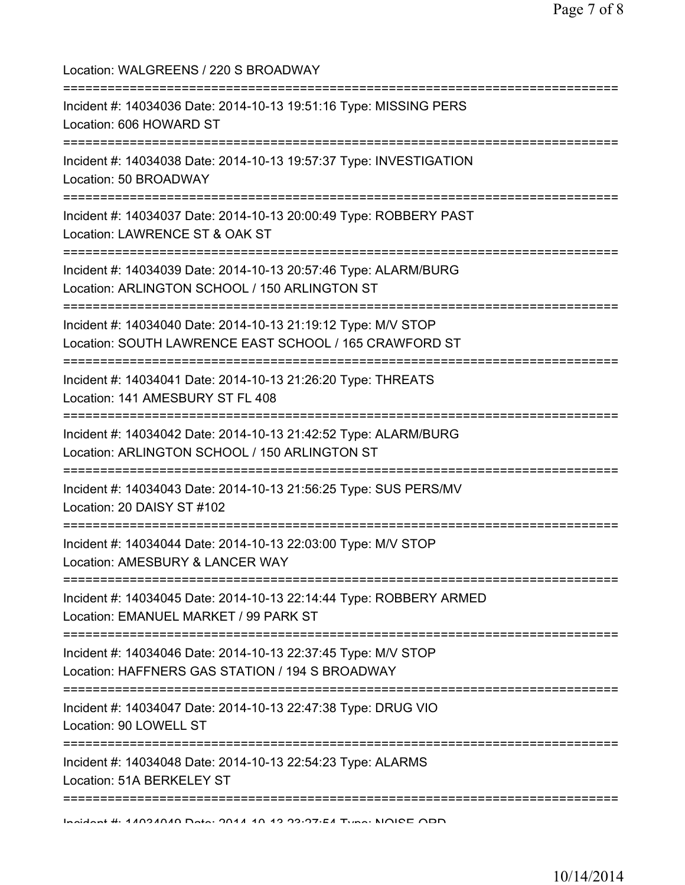Location: WALGREENS / 220 S BROADWAY =========================================================================== Incident #: 14034036 Date: 2014-10-13 19:51:16 Type: MISSING PERS Location: 606 HOWARD ST =========================================================================== Incident #: 14034038 Date: 2014-10-13 19:57:37 Type: INVESTIGATION Location: 50 BROADWAY =========================================================================== Incident #: 14034037 Date: 2014-10-13 20:00:49 Type: ROBBERY PAST Location: LAWRENCE ST & OAK ST =========================================================================== Incident #: 14034039 Date: 2014-10-13 20:57:46 Type: ALARM/BURG Location: ARLINGTON SCHOOL / 150 ARLINGTON ST =========================================================================== Incident #: 14034040 Date: 2014-10-13 21:19:12 Type: M/V STOP Location: SOUTH LAWRENCE EAST SCHOOL / 165 CRAWFORD ST =========================================================================== Incident #: 14034041 Date: 2014-10-13 21:26:20 Type: THREATS Location: 141 AMESBURY ST FL 408 =========================================================================== Incident #: 14034042 Date: 2014-10-13 21:42:52 Type: ALARM/BURG Location: ARLINGTON SCHOOL / 150 ARLINGTON ST =========================================================================== Incident #: 14034043 Date: 2014-10-13 21:56:25 Type: SUS PERS/MV Location: 20 DAISY ST #102 =========================================================================== Incident #: 14034044 Date: 2014-10-13 22:03:00 Type: M/V STOP Location: AMESBURY & LANCER WAY =========================================================================== Incident #: 14034045 Date: 2014-10-13 22:14:44 Type: ROBBERY ARMED Location: EMANUEL MARKET / 99 PARK ST =========================================================================== Incident #: 14034046 Date: 2014-10-13 22:37:45 Type: M/V STOP Location: HAFFNERS GAS STATION / 194 S BROADWAY =========================================================================== Incident #: 14034047 Date: 2014-10-13 22:47:38 Type: DRUG VIO Location: 90 LOWELL ST =========================================================================== Incident #: 14034048 Date: 2014-10-13 22:54:23 Type: ALARMS Location: 51A BERKELEY ST =========================================================================== Incident #: 14034049 Date: 2014 10 13 23:27:54 Type: NOISE ORD